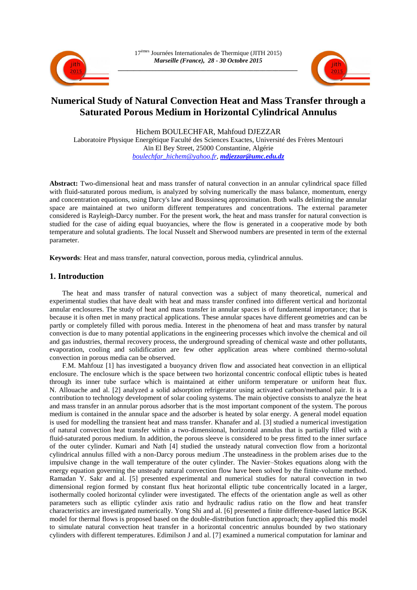



# **Numerical Study of Natural Convection Heat and Mass Transfer through a Saturated Porous Medium in Horizontal Cylindrical Annulus**

Hichem BOULECHFAR, Mahfoud DJEZZAR Laboratoire Physique Energétique Faculté des Sciences Exactes, Université des Frères Mentouri Aïn El Bey Street, 25000 Constantine, Algérie *[boulechfar\\_hichem@yahoo.fr,](mailto:boulechfar_hichem@yahoo.fr) [mdjezzar@umc.edu.dz](mailto:mdjezzar@umc.edu.dz)*

**Abstract:** Two-dimensional heat and mass transfer of natural convection in an annular cylindrical space filled with fluid-saturated porous medium, is analyzed by solving numerically the mass balance, momentum, energy and concentration equations, using Darcy's law and Boussinesq approximation. Both walls delimiting the annular space are maintained at two uniform different temperatures and concentrations. The external parameter considered is Rayleigh-Darcy number. For the present work, the heat and mass transfer for natural convection is studied for the case of aiding equal buoyancies, where the flow is generated in a cooperative mode by both temperature and solutal gradients. The local Nusselt and Sherwood numbers are presented in term of the external parameter.

**Keywords**: Heat and mass transfer, natural convection, porous media, cylindrical annulus.

## **1. Introduction**

The heat and mass transfer of natural convection was a subject of many theoretical, numerical and experimental studies that have dealt with heat and mass transfer confined into different vertical and horizontal annular enclosures. The study of heat and mass transfer in annular spaces is of fundamental importance; that is because it is often met in many practical applications. These annular spaces have different geometries and can be partly or completely filled with porous media. Interest in the phenomena of heat and mass transfer by natural convection is due to many potential applications in the engineering processes which involve the chemical and oil and gas industries, thermal recovery process, the underground spreading of chemical waste and other pollutants, evaporation, cooling and solidification are few other application areas where combined thermo-solutal convection in porous media can be observed.

F.M. Mahfouz [1] has investigated a buoyancy driven flow and associated heat convection in an elliptical enclosure. The enclosure which is the space between two horizontal concentric confocal elliptic tubes is heated through its inner tube surface which is maintained at either uniform temperature or uniform heat flux. N. Allouache and al. [2] analyzed a solid adsorption refrigerator using activated carbon/methanol pair. It is a contribution to technology development of solar cooling systems. The main objective consists to analyze the heat and mass transfer in an annular porous adsorber that is the most important component of the system. The porous medium is contained in the annular space and the adsorber is heated by solar energy. A general model equation is used for modelling the transient heat and mass transfer. Khanafer and al. [3] studied a numerical investigation of natural convection heat transfer within a two-dimensional, horizontal annulus that is partially filled with a fluid-saturated porous medium. In addition, the porous sleeve is considered to be press fitted to the inner surface of the outer cylinder. Kumari and Nath [4] studied the unsteady natural convection flow from a horizontal cylindrical annulus filled with a non-Darcy porous medium .The unsteadiness in the problem arises due to the impulsive change in the wall temperature of the outer cylinder. The Navier–Stokes equations along with the energy equation governing the unsteady natural convection flow have been solved by the finite-volume method. Ramadan Y. Sakr and al. [5] presented experimental and numerical studies for natural convection in two dimensional region formed by constant flux heat horizontal elliptic tube concentrically located in a larger, isothermally cooled horizontal cylinder were investigated. The effects of the orientation angle as well as other parameters such as elliptic cylinder axis ratio and hydraulic radius ratio on the flow and heat transfer characteristics are investigated numerically. Yong Shi and al. [6] presented a finite difference-based lattice BGK model for thermal flows is proposed based on the double-distribution function approach; they applied this model to simulate natural convection heat transfer in a horizontal concentric annulus bounded by two stationary cylinders with different temperatures. Edimilson J and al. [7] examined a numerical computation for laminar and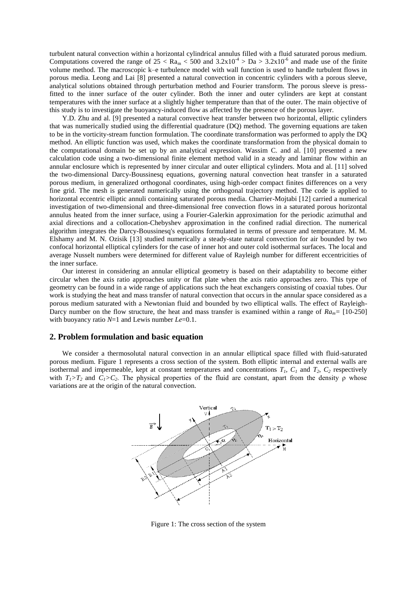turbulent natural convection within a horizontal cylindrical annulus filled with a fluid saturated porous medium. Computations covered the range of  $25 < Ra_m < 500$  and  $3.2x10^{-4} > Da > 3.2x10^{-6}$  and made use of the finite volume method. The macroscopic k–e turbulence model with wall function is used to handle turbulent flows in porous media. Leong and Lai [8] presented a natural convection in concentric cylinders with a porous sleeve, analytical solutions obtained through perturbation method and Fourier transform. The porous sleeve is pressfitted to the inner surface of the outer cylinder. Both the inner and outer cylinders are kept at constant temperatures with the inner surface at a slightly higher temperature than that of the outer. The main objective of this study is to investigate the buoyancy-induced flow as affected by the presence of the porous layer.

Y.D. Zhu and al. [9] presented a natural convective heat transfer between two horizontal, elliptic cylinders that was numerically studied using the differential quadrature (DQ) method. The governing equations are taken to be in the vorticity-stream function formulation. The coordinate transformation was performed to apply the DQ method. An elliptic function was used, which makes the coordinate transformation from the physical domain to the computational domain be set up by an analytical expression. Wassim C. and al. [10] presented a new calculation code using a two-dimensional finite element method valid in a steady and laminar flow within an annular enclosure which is represented by inner circular and outer elliptical cylinders. Mota and al. [11] solved the two-dimensional Darcy-Boussinesq equations, governing natural convection heat transfer in a saturated porous medium, in generalized orthogonal coordinates, using high-order compact finites differences on a very fine grid. The mesh is generated numerically using the orthogonal trajectory method. The code is applied to horizontal eccentric elliptic annuli containing saturated porous media. Charrier-Mojtabi [12] carried a numerical investigation of two-dimensional and three-dimensional free convection flows in a saturated porous horizontal annulus heated from the inner surface, using a Fourier-Galerkin approximation for the periodic azimuthal and axial directions and a collocation-Chebyshev approximation in the confined radial direction. The numerical algorithm integrates the Darcy-Boussinesq's equations formulated in terms of pressure and temperature. M. M. Elshamy and M. N. Ozisik [13] studied numerically a steady-state natural convection for air bounded by two confocal horizontal elliptical cylinders for the case of inner hot and outer cold isothermal surfaces. The local and average Nusselt numbers were determined for different value of Rayleigh number for different eccentricities of the inner surface.

Our interest in considering an annular elliptical geometry is based on their adaptability to become either circular when the axis ratio approaches unity or flat plate when the axis ratio approaches zero. This type of geometry can be found in a wide range of applications such the heat exchangers consisting of coaxial tubes. Our work is studying the heat and mass transfer of natural convection that occurs in the annular space considered as a porous medium saturated with a Newtonian fluid and bounded by two elliptical walls. The effect of Rayleigh-Darcy number on the flow structure, the heat and mass transfer is examined within a range of  $Ra_m = [10-250]$ with buoyancy ratio  $N=1$  and Lewis number *Le*=0.1.

### **2. Problem formulation and basic equation**

We consider a thermosolutal natural convection in an annular elliptical space filled with fluid-saturated porous medium. Figure 1 represents a cross section of the system. Both elliptic internal and external walls are isothermal and impermeable, kept at constant temperatures and concentrations  $T_I$ ,  $C_I$  and  $T_2$ ,  $C_2$  respectively with  $T_1 > T_2$  and  $C_1 > C_2$ . The physical properties of the fluid are constant, apart from the density  $\rho$  whose variations are at the origin of the natural convection.



Figure 1: The cross section of the system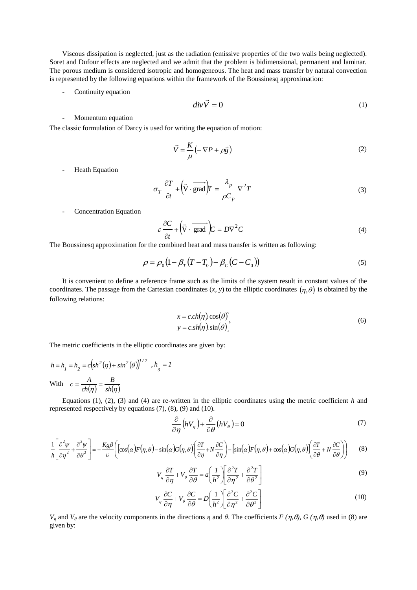Viscous dissipation is neglected, just as the radiation (emissive properties of the two walls being neglected). Soret and Dufour effects are neglected and we admit that the problem is bidimensional, permanent and laminar. The porous medium is considered isotropic and homogeneous. The heat and mass transfer by natural convection is represented by the following equations within the framework of the Boussinesq approximation:

Continuity equation

$$
div\vec{V} = 0 \tag{1}
$$

- Momentum equation

The classic formulation of Darcy is used for writing the equation of motion:

$$
\vec{V} = \frac{K}{\mu} \left( -\nabla P + \rho \vec{g} \right)
$$
 (2)

- Heath Equation

$$
\sigma_T \frac{\partial T}{\partial t} + \left(\vec{V} \cdot \overrightarrow{\text{grad}}\right) F = \frac{\lambda_p}{\rho C_p} \nabla^2 T
$$
\n(3)

- Concentration Equation

$$
\varepsilon \frac{\partial C}{\partial t} + \left(\vec{V} \cdot \overrightarrow{\text{grad}}\right) C = D\nabla^2 C \tag{4}
$$

The Boussinesq approximation for the combined heat and mass transfer is written as following:

$$
\rho = \rho_0 (1 - \beta_T (T - T_0) - \beta_C (C - C_0))
$$
\n(5)

It is convenient to define a reference frame such as the limits of the system result in constant values of the coordinates. The passage from the Cartesian coordinates  $(x, y)$  to the elliptic coordinates  $(\eta, \theta)$  is obtained by the following relations:

$$
x = c.ch(\eta) \cos(\theta) \n y = c.sh(\eta) \sin(\theta)
$$
\n(6)

The metric coefficients in the elliptic coordinates are given by:

$$
h = h_1 = h_2 = c \left( \frac{sh^2(\eta) + \sin^2(\theta)}{\theta} \right)^{1/2}, h_3 = I
$$
  
With 
$$
c = \frac{A}{ch(\eta)} = \frac{B}{sh(\eta)}
$$

Equations (1), (2), (3) and (4) are re-written in the elliptic coordinates using the metric coefficient *h* and represented respectively by equations (7), (8), (9) and (10).

$$
\frac{\partial}{\partial \eta} \left( h V_{\eta} \right) + \frac{\partial}{\partial \theta} \left( h V_{\theta} \right) = 0 \tag{7}
$$

$$
\frac{1}{h} \left[ \frac{\partial^2 \psi}{\partial \eta^2} + \frac{\partial^2 \psi}{\partial \theta^2} \right] = -\frac{Kg\beta}{\nu} \left( \left[ \cos(\alpha) F(\eta, \theta) - \sin(\alpha) G(\eta, \theta) \right] \left( \frac{\partial T}{\partial \eta} + N \frac{\partial C}{\partial \eta} \right) - \left[ \sin(\alpha) F(\eta, \theta) + \cos(\alpha) G(\eta, \theta) \right] \left( \frac{\partial T}{\partial \theta} + N \frac{\partial C}{\partial \theta} \right) \right) \tag{8}
$$

$$
V_{\eta} \frac{\partial T}{\partial \eta} + V_{\theta} \frac{\partial T}{\partial \theta} = a \left( \frac{1}{h^2} \left[ \frac{\partial^2 T}{\partial \eta^2} + \frac{\partial^2 T}{\partial \theta^2} \right] \right)
$$
(9)

$$
V_{\eta} \frac{\partial C}{\partial \eta} + V_{\theta} \frac{\partial C}{\partial \theta} = D \left( \frac{1}{h^2} \right) \left[ \frac{\partial^2 C}{\partial \eta^2} + \frac{\partial^2 C}{\partial \theta^2} \right]
$$
(10)

*V<sub>n</sub>* and *V*<sub>θ</sub> are the velocity components in the directions *η* and *θ*. The coefficients *F (η, θ), G (η, θ)* used in (8) are given by: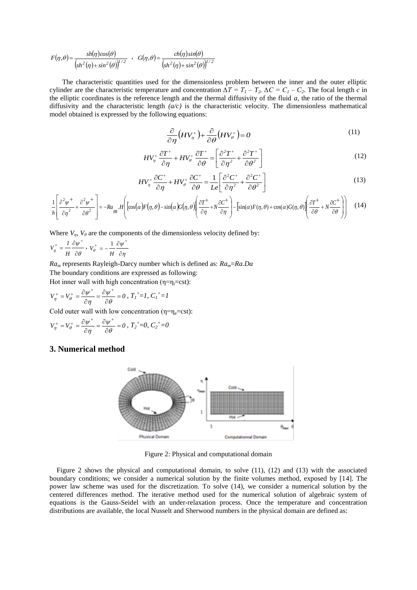$$
F(\eta,\theta) = \frac{sh(\eta)\cos(\theta)}{\left(sh^2(\eta) + sin^2(\theta)\right)^{1/2}} \quad , \quad G(\eta,\theta) = \frac{ch(\eta)\sin(\theta)}{\left(sh^2(\eta) + sin^2(\theta)\right)^{1/2}}
$$

The characteristic quantities used for the dimensionless problem between the inner and the outer elliptic cylinder are the characteristic temperature and concentration  $\Delta T = T_1 - T_2$ ,  $\Delta C = C_1 - C_2$ . The focal length *c* in the elliptic coordinates is the reference length and the thermal diffusivity of the fluid *a*, the ratio of the thermal diffusivity and the characteristic length *(a/c)* is the characteristic velocity. The dimensionless mathematical model obtained is expressed by the following equations:

$$
\frac{\partial}{\partial \eta} \left( H V_{\eta}^+ \right) + \frac{\partial}{\partial \theta} \left( H V_{\theta}^+ \right) = 0 \tag{11}
$$

$$
HV_{\eta}^{+}\frac{\partial T^{+}}{\partial \eta}+HV_{\theta}^{+}\frac{\partial T^{+}}{\partial \theta}=\left[\frac{\partial^{2}T^{+}}{\partial \eta^{2}}+\frac{\partial^{2}T^{+}}{\partial \theta^{2}}\right]
$$
(12)

$$
HV_{\eta}^{+}\frac{\partial C^{+}}{\partial \eta}+HV_{\theta}^{+}\frac{\partial C^{+}}{\partial \theta}=\frac{1}{Le}\left[\frac{\partial^{2}C^{+}}{\partial \eta^{2}}+\frac{\partial^{2}C^{+}}{\partial \theta^{2}}\right]
$$
(13)

$$
\frac{1}{h} \left[ \frac{\partial^2 \psi^+}{\partial \eta^2} + \frac{\partial^2 \psi^+}{\partial \theta^2} \right] = -Ra_{m} \cdot H \left[ \left[ \cos(\alpha) F(\eta, \theta) - \sin(\alpha) G(\eta, \theta) \right] \left( \frac{\partial T^+}{\partial \eta} + N \frac{\partial C^+}{\partial \eta} \right) - \left[ \sin(\alpha) F(\eta, \theta) + \cos(\alpha) G(\eta, \theta) \right] \left( \frac{\partial T^+}{\partial \theta} + N \frac{\partial C^+}{\partial \theta} \right) \right] \tag{14}
$$

Where  $V_n$ ,  $V_\theta$  are the components of the dimensionless velocity defined by:

$$
V_\eta^+ = \frac{1}{H} \frac{\partial \psi^+}{\partial \theta} \, , \; V_\theta^+ = - \frac{1}{H} \frac{\partial \psi^+}{\partial \eta}
$$

*Ra<sup>m</sup>* represents Rayleigh-Darcy number which is defined as: *Ram*=*Ra.Da* The boundary conditions are expressed as following:

Hot inner wall with high concentration  $(\eta = \eta_i = \text{cst})$ :

$$
V_{\eta}^{+} = V_{\theta}^{+} = \frac{\partial \psi^{+}}{\partial \eta} = \frac{\partial \psi^{+}}{\partial \theta} = 0 , T_{I}^{+} = I, C_{I}^{+} = I
$$

Cold outer wall with low concentration ( $\eta = \eta_e = cst$ ):

$$
V_{\eta}^{+} = V_{\theta}^{+} = \frac{\partial \psi^{+}}{\partial \eta} = \frac{\partial \psi^{+}}{\partial \theta} = 0, T_{2}^{+} = 0, C_{2}^{+} = 0
$$

## **3. Numerical method**



Figure 2: Physical and computational domain

Figure 2 shows the physical and computational domain, to solve (11), (12) and (13) with the associated boundary conditions; we consider a numerical solution by the finite volumes method, exposed by [14]. The power law scheme was used for the discretization. To solve (14), we consider a numerical solution by the centered differences method. The iterative method used for the numerical solution of algebraic system of equations is the Gauss-Seidel with an under-relaxation process. Once the temperature and concentration distributions are available, the local Nusselt and Sherwood numbers in the physical domain are defined as: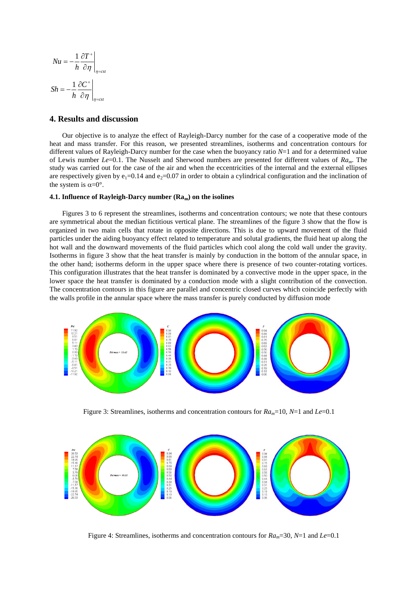$$
Nu = -\frac{1}{h} \frac{\partial T^+}{\partial \eta} \bigg|_{\eta = \text{cst}}
$$

$$
Sh = -\frac{1}{h} \frac{\partial C^+}{\partial \eta} \bigg|_{\eta = \text{cst}}
$$

## **4. Results and discussion**

Our objective is to analyze the effect of Rayleigh-Darcy number for the case of a cooperative mode of the heat and mass transfer. For this reason, we presented streamlines, isotherms and concentration contours for different values of Rayleigh-Darcy number for the case when the buoyancy ratio *N*=1 and for a determined value of Lewis number *Le*=0.1. The Nusselt and Sherwood numbers are presented for different values of *Ram*. The study was carried out for the case of the air and when the eccentricities of the internal and the external ellipses are respectively given by  $e_1=0.14$  and  $e_2=0.07$  in order to obtain a cylindrical configuration and the inclination of the system is  $\alpha = 0^\circ$ .

#### **4.1. Influence of Rayleigh-Darcy number (Ram) on the isolines**

Figures 3 to 6 represent the streamlines, isotherms and concentration contours; we note that these contours are symmetrical about the median fictitious vertical plane. The streamlines of the figure 3 show that the flow is organized in two main cells that rotate in opposite directions. This is due to upward movement of the fluid particles under the aiding buoyancy effect related to temperature and solutal gradients, the fluid heat up along the hot wall and the downward movements of the fluid particles which cool along the cold wall under the gravity. Isotherms in figure 3 show that the heat transfer is mainly by conduction in the bottom of the annular space, in the other hand; isotherms deform in the upper space where there is presence of two counter-rotating vortices. This configuration illustrates that the heat transfer is dominated by a convective mode in the upper space, in the lower space the heat transfer is dominated by a conduction mode with a slight contribution of the convection. The concentration contours in this figure are parallel and concentric closed curves which coincide perfectly with the walls profile in the annular space where the mass transfer is purely conducted by diffusion mode



Figure 3: Streamlines, isotherms and concentration contours for *Ram*=10, *N*=1 and *Le*=0.1



Figure 4: Streamlines, isotherms and concentration contours for *Ram*=30, *N*=1 and *Le*=0.1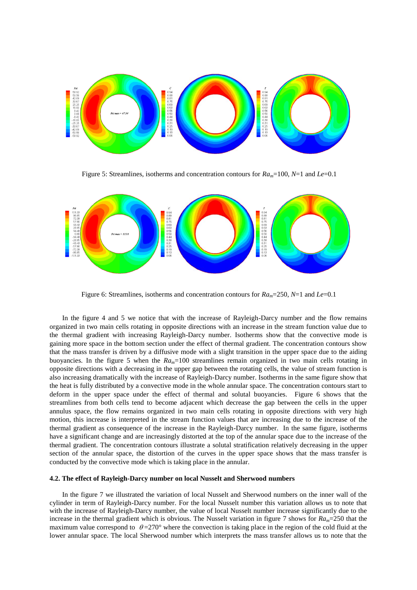

Figure 5: Streamlines, isotherms and concentration contours for *Ram*=100, *N*=1 and *Le*=0.1



Figure 6: Streamlines, isotherms and concentration contours for *Ram*=250, *N*=1 and *Le*=0.1

In the figure 4 and 5 we notice that with the increase of Rayleigh-Darcy number and the flow remains organized in two main cells rotating in opposite directions with an increase in the stream function value due to the thermal gradient with increasing Rayleigh-Darcy number. Isotherms show that the convective mode is gaining more space in the bottom section under the effect of thermal gradient. The concentration contours show that the mass transfer is driven by a diffusive mode with a slight transition in the upper space due to the aiding buoyancies. In the figure 5 when the  $Ra_m=100$  streamlines remain organized in two main cells rotating in opposite directions with a decreasing in the upper gap between the rotating cells, the value of stream function is also increasing dramatically with the increase of Rayleigh-Darcy number. Isotherms in the same figure show that the heat is fully distributed by a convective mode in the whole annular space. The concentration contours start to deform in the upper space under the effect of thermal and solutal buoyancies. Figure 6 shows that the streamlines from both cells tend to become adjacent which decrease the gap between the cells in the upper annulus space, the flow remains organized in two main cells rotating in opposite directions with very high motion, this increase is interpreted in the stream function values that are increasing due to the increase of the thermal gradient as consequence of the increase in the Rayleigh-Darcy number. In the same figure, isotherms have a significant change and are increasingly distorted at the top of the annular space due to the increase of the thermal gradient. The concentration contours illustrate a solutal stratification relatively decreasing in the upper section of the annular space, the distortion of the curves in the upper space shows that the mass transfer is conducted by the convective mode which is taking place in the annular.

#### **4.2. The effect of Rayleigh-Darcy number on local Nusselt and Sherwood numbers**

In the figure 7 we illustrated the variation of local Nusselt and Sherwood numbers on the inner wall of the cylinder in term of Rayleigh-Darcy number. For the local Nusselt number this variation allows us to note that with the increase of Rayleigh-Darcy number, the value of local Nusselt number increase significantly due to the increase in the thermal gradient which is obvious. The Nusselt variation in figure 7 shows for  $Ra_m$ =250 that the maximum value correspond to  $\theta = 270^{\circ}$  where the convection is taking place in the region of the cold fluid at the lower annular space. The local Sherwood number which interprets the mass transfer allows us to note that the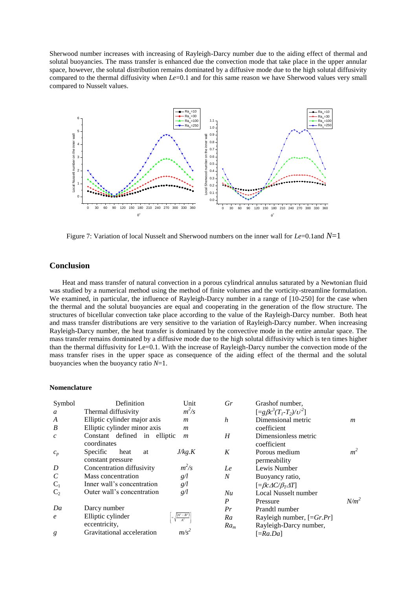Sherwood number increases with increasing of Rayleigh-Darcy number due to the aiding effect of thermal and solutal buoyancies. The mass transfer is enhanced due the convection mode that take place in the upper annular space, however, the solutal distribution remains dominated by a diffusive mode due to the high solutal diffusivity compared to the thermal diffusivity when *Le*=0.1 and for this same reason we have Sherwood values very small compared to Nusselt values.



Figure 7: Variation of local Nusselt and Sherwood numbers on the inner wall for *Le*=0.1and *N*=1

## **Conclusion**

Heat and mass transfer of natural convection in a porous cylindrical annulus saturated by a Newtonian fluid was studied by a numerical method using the method of finite volumes and the vorticity-streamline formulation. We examined, in particular, the influence of Rayleigh-Darcy number in a range of [10-250] for the case when the thermal and the solutal buoyancies are equal and cooperating in the generation of the flow structure. The structures of bicellular convection take place according to the value of the Rayleigh-Darcy number. Both heat and mass transfer distributions are very sensitive to the variation of Rayleigh-Darcy number. When increasing Rayleigh-Darcy number, the heat transfer is dominated by the convective mode in the entire annular space. The mass transfer remains dominated by a diffusive mode due to the high solutal diffusivity which is ten times higher than the thermal diffusivity for Le=0.1. With the increase of Rayleigh-Darcy number the convection mode of the mass transfer rises in the upper space as consequence of the aiding effect of the thermal and the solutal buoyancies when the buoyancy ratio *N*=1.

#### **Nomenclature**

| Symbol                  | Definition                                  | Unit                                       | Gr     |
|-------------------------|---------------------------------------------|--------------------------------------------|--------|
| a                       | Thermal diffusivity                         | $m^2/s$                                    |        |
| A                       | Elliptic cylinder major axis                | m                                          | h      |
| B                       | Elliptic cylinder minor axis                | m                                          |        |
| $\mathcal{C}$           | Constant defined in elliptic<br>coordinates | m                                          | H      |
| $c_p$                   | Specific<br>heat<br>at<br>constant pressure | J/kg.K                                     | K      |
| D                       | Concentration diffusivity                   | $m^2/s$                                    | Le     |
| $\mathcal{C}_{0}^{(n)}$ | Mass concentration                          | g/l                                        | N      |
| $C_1$                   | Inner wall's concentration                  | g/l                                        |        |
| C <sub>2</sub>          | Outer wall's concentration                  | g/l                                        | Nu     |
|                         |                                             |                                            | P      |
| Da                      | Darcy number                                |                                            | Pr     |
| $\epsilon$              | Elliptic cylinder                           | $=\sqrt{\frac{\left(A^2-B^2\right)}{A^2}}$ | Ra     |
|                         | eccentricity,                               |                                            | $Ra_m$ |
| g                       | Gravitational acceleration                  | $m/s^2$                                    |        |

| Gr               | Grashof number,                              |                |
|------------------|----------------------------------------------|----------------|
|                  | $[=g\beta c^3(T_1-T_2)/v^2]$                 |                |
| $\boldsymbol{h}$ | Dimensional metric                           | m              |
|                  | coefficient                                  |                |
| H                | Dimensionless metric                         |                |
|                  | coefficient                                  |                |
| K                | Porous medium                                | m <sup>2</sup> |
|                  | permeability                                 |                |
| Le               | Lewis Number                                 |                |
| N                | Buoyancy ratio,                              |                |
|                  | $[\equiv \beta c \Delta C/\beta_T \Delta T]$ |                |
| Nu               | Local Nusselt number                         |                |
| P                | Pressure                                     | $N/m^2$        |
| Pr               | Prandtl number                               |                |
| Ra               | Rayleigh number, $[=Gr.Pr]$                  |                |
| $Ra_m$           | Rayleigh-Darcy number,                       |                |
|                  | $[ =Ra.Da]$                                  |                |
|                  |                                              |                |